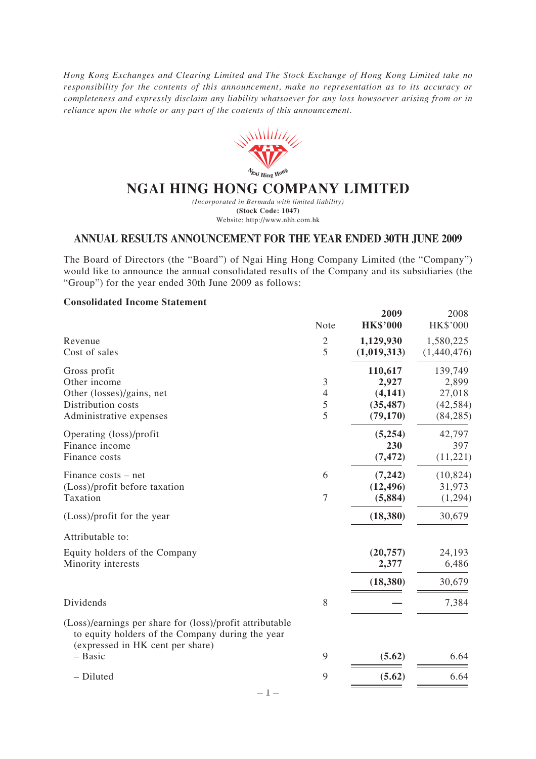*Hong Kong Exchanges and Clearing Limited and The Stock Exchange of Hong Kong Limited take no responsibility for the contents of this announcement, make no representation as to its accuracy or completeness and expressly disclaim any liability whatsoever for any loss howsoever arising from or in reliance upon the whole or any part of the contents of this announcement.*



# **NGAI HING HONG COMPANY LIMITED**

*(Incorporated in Bermuda with limited liability)* **(Stock Code: 1047)** Website: http://www.nhh.com.hk

## **ANNUAL RESULTS ANNOUNCEMENT FOR THE YEAR ENDED 30TH JUNE 2009**

The Board of Directors (the "Board") of Ngai Hing Hong Company Limited (the "Company") would like to announce the annual consolidated results of the Company and its subsidiaries (the "Group") for the year ended 30th June 2009 as follows:

### **Consolidated Income Statement**

|                                                                                                                                                  | Note                          | 2009<br><b>HK\$'000</b>                                | 2008<br>HK\$'000                                     |
|--------------------------------------------------------------------------------------------------------------------------------------------------|-------------------------------|--------------------------------------------------------|------------------------------------------------------|
| Revenue<br>Cost of sales                                                                                                                         | $\sqrt{2}$<br>5               | 1,129,930<br>(1,019,313)                               | 1,580,225<br>(1,440,476)                             |
| Gross profit<br>Other income<br>Other (losses)/gains, net<br>Distribution costs<br>Administrative expenses                                       | 3<br>$\overline{4}$<br>5<br>5 | 110,617<br>2,927<br>(4, 141)<br>(35, 487)<br>(79, 170) | 139,749<br>2,899<br>27,018<br>(42, 584)<br>(84, 285) |
| Operating (loss)/profit<br>Finance income<br>Finance costs                                                                                       |                               | (5,254)<br>230<br>(7, 472)                             | 42,797<br>397<br>(11, 221)                           |
| Finance costs – net<br>(Loss)/profit before taxation<br>Taxation                                                                                 | 6<br>7                        | (7, 242)<br>(12, 496)<br>(5,884)                       | (10, 824)<br>31,973<br>(1,294)                       |
| (Loss)/profit for the year                                                                                                                       |                               | (18,380)                                               | 30,679                                               |
| Attributable to:                                                                                                                                 |                               |                                                        |                                                      |
| Equity holders of the Company<br>Minority interests                                                                                              |                               | (20, 757)<br>2,377                                     | 24,193<br>6,486                                      |
|                                                                                                                                                  |                               | (18, 380)                                              | 30,679                                               |
| Dividends                                                                                                                                        | 8                             |                                                        | 7,384                                                |
| (Loss)/earnings per share for (loss)/profit attributable<br>to equity holders of the Company during the year<br>(expressed in HK cent per share) |                               |                                                        |                                                      |
| - Basic                                                                                                                                          | 9                             | (5.62)                                                 | 6.64                                                 |
| - Diluted<br>$-1-$                                                                                                                               | 9                             | (5.62)                                                 | 6.64                                                 |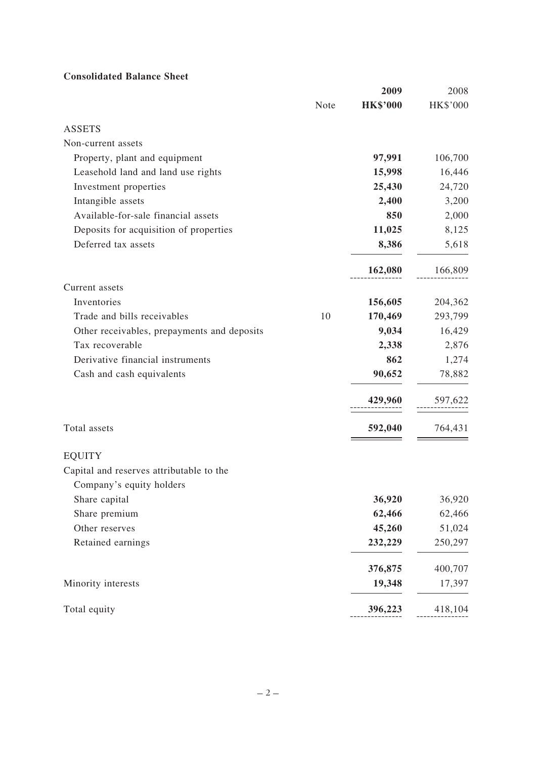# **Consolidated Balance Sheet**

|                                             |      | 2009            | 2008     |
|---------------------------------------------|------|-----------------|----------|
|                                             | Note | <b>HK\$'000</b> | HK\$'000 |
| <b>ASSETS</b>                               |      |                 |          |
| Non-current assets                          |      |                 |          |
| Property, plant and equipment               |      | 97,991          | 106,700  |
| Leasehold land and land use rights          |      | 15,998          | 16,446   |
| Investment properties                       |      | 25,430          | 24,720   |
| Intangible assets                           |      | 2,400           | 3,200    |
| Available-for-sale financial assets         |      | 850             | 2,000    |
| Deposits for acquisition of properties      |      | 11,025          | 8,125    |
| Deferred tax assets                         |      | 8,386           | 5,618    |
|                                             |      | 162,080         | 166,809  |
| Current assets                              |      |                 |          |
| Inventories                                 |      | 156,605         | 204,362  |
| Trade and bills receivables                 | 10   | 170,469         | 293,799  |
| Other receivables, prepayments and deposits |      | 9,034           | 16,429   |
| Tax recoverable                             |      | 2,338           | 2,876    |
| Derivative financial instruments            |      | 862             | 1,274    |
| Cash and cash equivalents                   |      | 90,652          | 78,882   |
|                                             |      | 429,960         | 597,622  |
| Total assets                                |      | 592,040         | 764,431  |
| <b>EQUITY</b>                               |      |                 |          |
| Capital and reserves attributable to the    |      |                 |          |
| Company's equity holders                    |      |                 |          |
| Share capital                               |      | 36,920          | 36,920   |
| Share premium                               |      | 62,466          | 62,466   |
| Other reserves                              |      | 45,260          | 51,024   |
| Retained earnings                           |      | 232,229         | 250,297  |
|                                             |      | 376,875         | 400,707  |
| Minority interests                          |      | 19,348          | 17,397   |
| Total equity                                |      | 396,223         | 418,104  |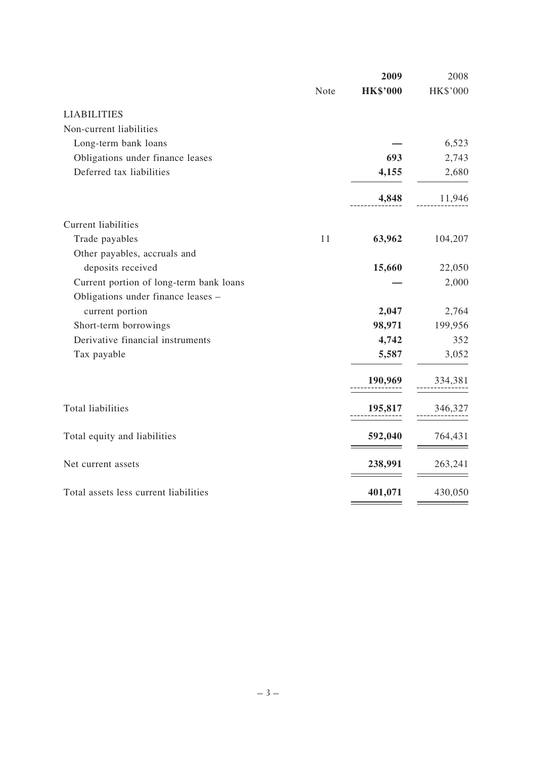|                                         |      | 2009            | 2008     |
|-----------------------------------------|------|-----------------|----------|
|                                         | Note | <b>HK\$'000</b> | HK\$'000 |
| <b>LIABILITIES</b>                      |      |                 |          |
| Non-current liabilities                 |      |                 |          |
| Long-term bank loans                    |      |                 | 6,523    |
| Obligations under finance leases        |      | 693             | 2,743    |
| Deferred tax liabilities                |      | 4,155           | 2,680    |
|                                         |      | 4,848           | 11,946   |
| <b>Current liabilities</b>              |      |                 |          |
| Trade payables                          | 11   | 63,962          | 104,207  |
| Other payables, accruals and            |      |                 |          |
| deposits received                       |      | 15,660          | 22,050   |
| Current portion of long-term bank loans |      |                 | 2,000    |
| Obligations under finance leases -      |      |                 |          |
| current portion                         |      | 2,047           | 2,764    |
| Short-term borrowings                   |      | 98,971          | 199,956  |
| Derivative financial instruments        |      | 4,742           | 352      |
| Tax payable                             |      | 5,587           | 3,052    |
|                                         |      | 190,969         | 334,381  |
| <b>Total liabilities</b>                |      | 195,817         | 346,327  |
| Total equity and liabilities            |      | 592,040         | 764,431  |
| Net current assets                      |      | 238,991         | 263,241  |
| Total assets less current liabilities   |      | 401,071         | 430,050  |
|                                         |      |                 |          |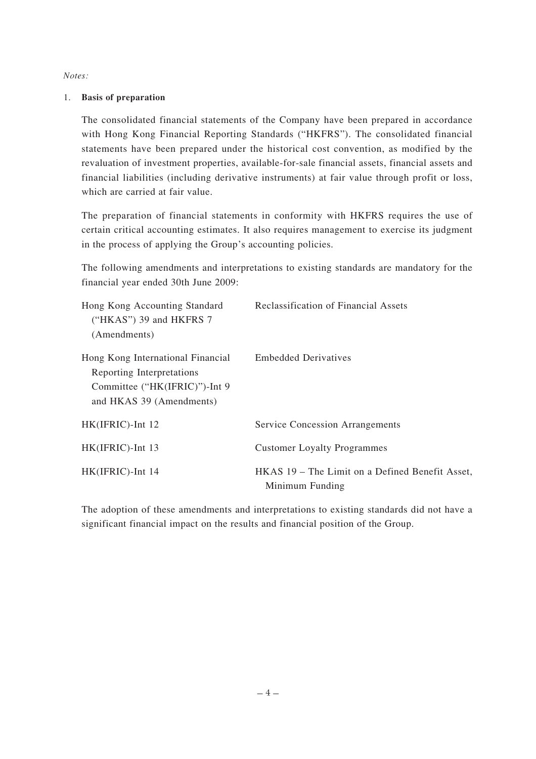*Notes:*

## 1. **Basis of preparation**

The consolidated financial statements of the Company have been prepared in accordance with Hong Kong Financial Reporting Standards ("HKFRS"). The consolidated financial statements have been prepared under the historical cost convention, as modified by the revaluation of investment properties, available-for-sale financial assets, financial assets and financial liabilities (including derivative instruments) at fair value through profit or loss, which are carried at fair value.

The preparation of financial statements in conformity with HKFRS requires the use of certain critical accounting estimates. It also requires management to exercise its judgment in the process of applying the Group's accounting policies.

The following amendments and interpretations to existing standards are mandatory for the financial year ended 30th June 2009:

| Hong Kong Accounting Standard<br>("HKAS") 39 and HKFRS $7$<br>(Amendments)                                                  | <b>Reclassification of Financial Assets</b>                        |
|-----------------------------------------------------------------------------------------------------------------------------|--------------------------------------------------------------------|
| Hong Kong International Financial<br>Reporting Interpretations<br>Committee ("HK(IFRIC)")-Int 9<br>and HKAS 39 (Amendments) | <b>Embedded Derivatives</b>                                        |
| HK(IFRIC)-Int 12                                                                                                            | <b>Service Concession Arrangements</b>                             |
| HK(IFRIC)-Int 13                                                                                                            | <b>Customer Loyalty Programmes</b>                                 |
| HK(IFRIC)-Int 14                                                                                                            | HKAS 19 – The Limit on a Defined Benefit Asset,<br>Minimum Funding |

The adoption of these amendments and interpretations to existing standards did not have a significant financial impact on the results and financial position of the Group.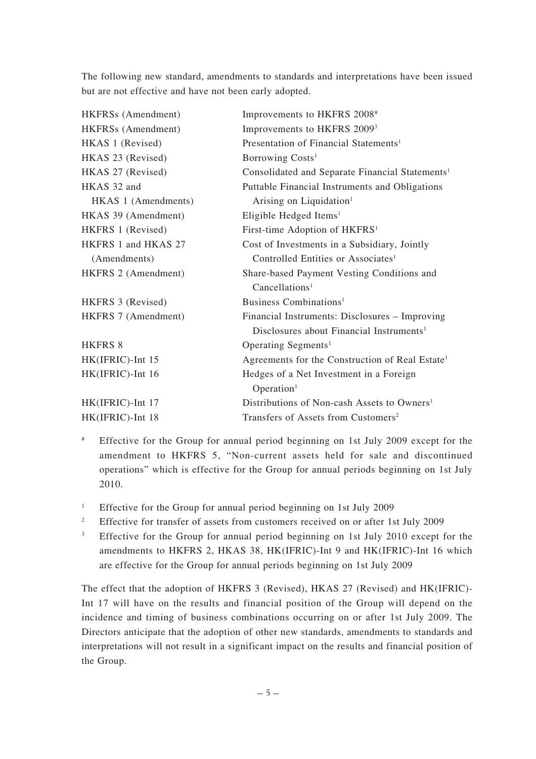The following new standard, amendments to standards and interpretations have been issued but are not effective and have not been early adopted.

| HKFRSs (Amendment)  | Improvements to HKFRS 2008#                                 |
|---------------------|-------------------------------------------------------------|
| HKFRSs (Amendment)  | Improvements to HKFRS 2009 <sup>3</sup>                     |
| HKAS 1 (Revised)    | Presentation of Financial Statements <sup>1</sup>           |
| HKAS 23 (Revised)   | Borrowing Costs <sup>1</sup>                                |
| HKAS 27 (Revised)   | Consolidated and Separate Financial Statements <sup>1</sup> |
| HKAS 32 and         | Puttable Financial Instruments and Obligations              |
| HKAS 1 (Amendments) | Arising on Liquidation <sup>1</sup>                         |
| HKAS 39 (Amendment) | Eligible Hedged Items <sup>1</sup>                          |
| HKFRS 1 (Revised)   | First-time Adoption of HKFRS <sup>1</sup>                   |
| HKFRS 1 and HKAS 27 | Cost of Investments in a Subsidiary, Jointly                |
| (Amendments)        | Controlled Entities or Associates <sup>1</sup>              |
| HKFRS 2 (Amendment) | Share-based Payment Vesting Conditions and                  |
|                     | Cancellations <sup>1</sup>                                  |
| HKFRS 3 (Revised)   | Business Combinations <sup>1</sup>                          |
| HKFRS 7 (Amendment) | Financial Instruments: Disclosures - Improving              |
|                     | Disclosures about Financial Instruments <sup>1</sup>        |
| <b>HKFRS 8</b>      | Operating Segments <sup>1</sup>                             |
| HK(IFRIC)-Int 15    | Agreements for the Construction of Real Estate <sup>1</sup> |
| HK(IFRIC)-Int 16    | Hedges of a Net Investment in a Foreign                     |
|                     | Operation <sup>1</sup>                                      |
| HK(IFRIC)-Int 17    | Distributions of Non-cash Assets to Owners <sup>1</sup>     |
| HK(IFRIC)-Int 18    | Transfers of Assets from Customers <sup>2</sup>             |

- # Effective for the Group for annual period beginning on 1st July 2009 except for the amendment to HKFRS 5, "Non-current assets held for sale and discontinued operations" which is effective for the Group for annual periods beginning on 1st July 2010.
- <sup>1</sup> Effective for the Group for annual period beginning on 1st July 2009
- <sup>2</sup> Effective for transfer of assets from customers received on or after 1st July 2009
- <sup>3</sup> Effective for the Group for annual period beginning on 1st July 2010 except for the amendments to HKFRS 2, HKAS 38, HK(IFRIC)-Int 9 and HK(IFRIC)-Int 16 which are effective for the Group for annual periods beginning on 1st July 2009

The effect that the adoption of HKFRS 3 (Revised), HKAS 27 (Revised) and HK(IFRIC)- Int 17 will have on the results and financial position of the Group will depend on the incidence and timing of business combinations occurring on or after 1st July 2009. The Directors anticipate that the adoption of other new standards, amendments to standards and interpretations will not result in a significant impact on the results and financial position of the Group.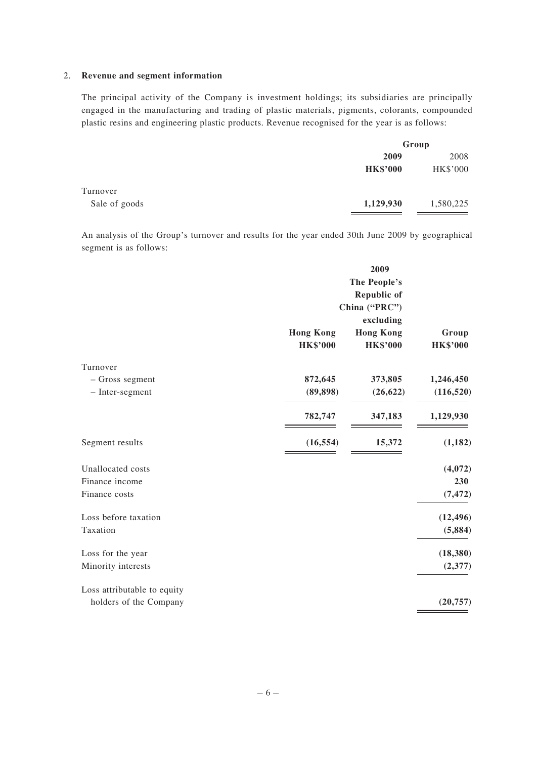#### 2. **Revenue and segment information**

The principal activity of the Company is investment holdings; its subsidiaries are principally engaged in the manufacturing and trading of plastic materials, pigments, colorants, compounded plastic resins and engineering plastic products. Revenue recognised for the year is as follows:

|               |                 | Group     |  |
|---------------|-----------------|-----------|--|
|               | 2009            | 2008      |  |
|               | <b>HK\$'000</b> | HK\$'000  |  |
| Turnover      |                 |           |  |
| Sale of goods | 1,129,930       | 1,580,225 |  |

An analysis of the Group's turnover and results for the year ended 30th June 2009 by geographical segment is as follows:

|                             | 2009<br>The People's<br><b>Republic of</b><br>China ("PRC")<br>excluding |                                     |                          |
|-----------------------------|--------------------------------------------------------------------------|-------------------------------------|--------------------------|
|                             | <b>Hong Kong</b><br><b>HK\$'000</b>                                      | <b>Hong Kong</b><br><b>HK\$'000</b> | Group<br><b>HK\$'000</b> |
| Turnover                    |                                                                          |                                     |                          |
| - Gross segment             | 872,645                                                                  | 373,805                             | 1,246,450                |
| - Inter-segment             | (89, 898)                                                                | (26, 622)                           | (116, 520)               |
|                             | 782,747                                                                  | 347,183                             | 1,129,930                |
| Segment results             | (16, 554)                                                                | 15,372                              | (1, 182)                 |
| Unallocated costs           |                                                                          |                                     | (4,072)                  |
| Finance income              |                                                                          |                                     | 230                      |
| Finance costs               |                                                                          |                                     | (7, 472)                 |
| Loss before taxation        |                                                                          |                                     | (12, 496)                |
| Taxation                    |                                                                          |                                     | (5,884)                  |
| Loss for the year           |                                                                          |                                     | (18, 380)                |
| Minority interests          |                                                                          |                                     | (2,377)                  |
| Loss attributable to equity |                                                                          |                                     |                          |
| holders of the Company      |                                                                          |                                     | (20, 757)                |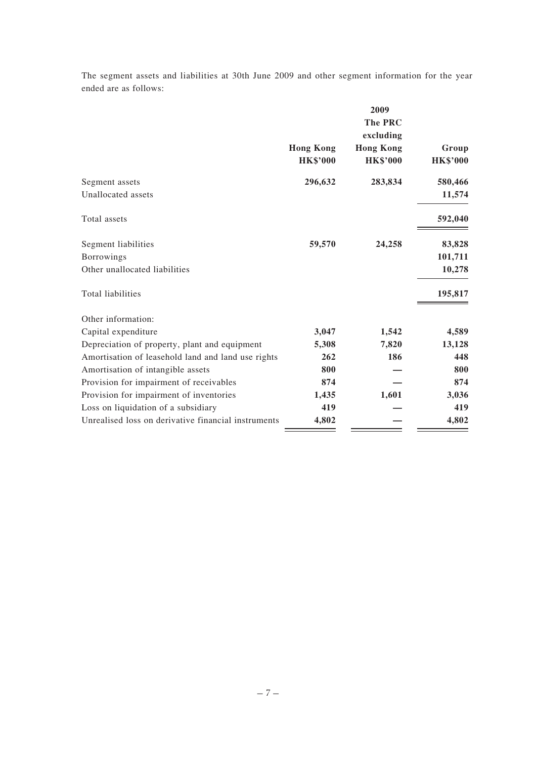The segment assets and liabilities at 30th June 2009 and other segment information for the year ended are as follows:

|                  | 2009             |                 |
|------------------|------------------|-----------------|
|                  | <b>The PRC</b>   |                 |
|                  | excluding        |                 |
| <b>Hong Kong</b> | <b>Hong Kong</b> | Group           |
| <b>HK\$'000</b>  | <b>HK\$'000</b>  | <b>HK\$'000</b> |
| 296,632          | 283,834          | 580,466         |
|                  |                  | 11,574          |
|                  |                  | 592,040         |
| 59,570           | 24,258           | 83,828          |
|                  |                  | 101,711         |
|                  |                  | 10,278          |
|                  |                  | 195,817         |
|                  |                  |                 |
| 3,047            | 1,542            | 4,589           |
| 5,308            | 7,820            | 13,128          |
| 262              | 186              | 448             |
| 800              |                  | 800             |
| 874              |                  | 874             |
| 1,435            | 1,601            | 3,036           |
| 419              |                  | 419             |
| 4,802            |                  | 4,802           |
|                  |                  |                 |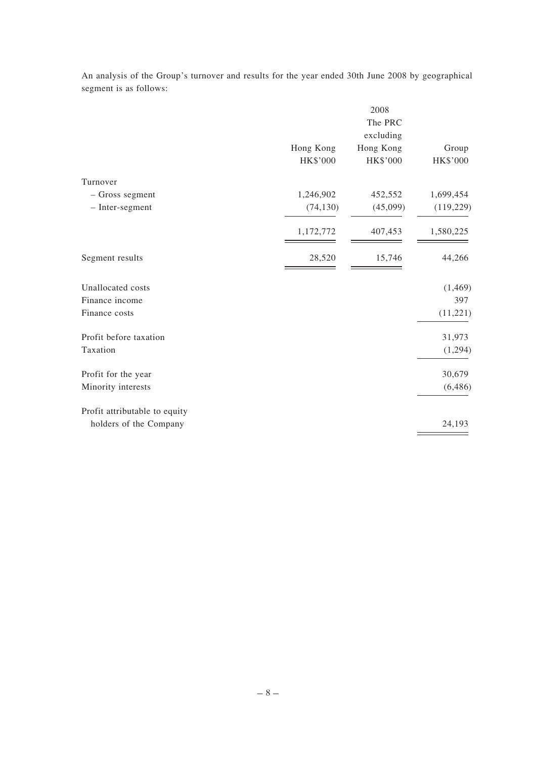An analysis of the Group's turnover and results for the year ended 30th June 2008 by geographical segment is as follows:

|                               |                 | 2008      |            |
|-------------------------------|-----------------|-----------|------------|
|                               |                 | The PRC   |            |
|                               |                 | excluding |            |
|                               | Hong Kong       | Hong Kong | Group      |
|                               | <b>HK\$'000</b> | HK\$'000  | HK\$'000   |
| Turnover                      |                 |           |            |
| - Gross segment               | 1,246,902       | 452,552   | 1,699,454  |
| - Inter-segment               | (74, 130)       | (45,099)  | (119, 229) |
|                               | 1,172,772       | 407,453   | 1,580,225  |
| Segment results               | 28,520          | 15,746    | 44,266     |
| Unallocated costs             |                 |           | (1, 469)   |
| Finance income                |                 |           | 397        |
| Finance costs                 |                 |           | (11,221)   |
| Profit before taxation        |                 |           | 31,973     |
| Taxation                      |                 |           | (1,294)    |
| Profit for the year           |                 |           | 30,679     |
| Minority interests            |                 |           | (6, 486)   |
| Profit attributable to equity |                 |           |            |
| holders of the Company        |                 |           | 24,193     |
|                               |                 |           |            |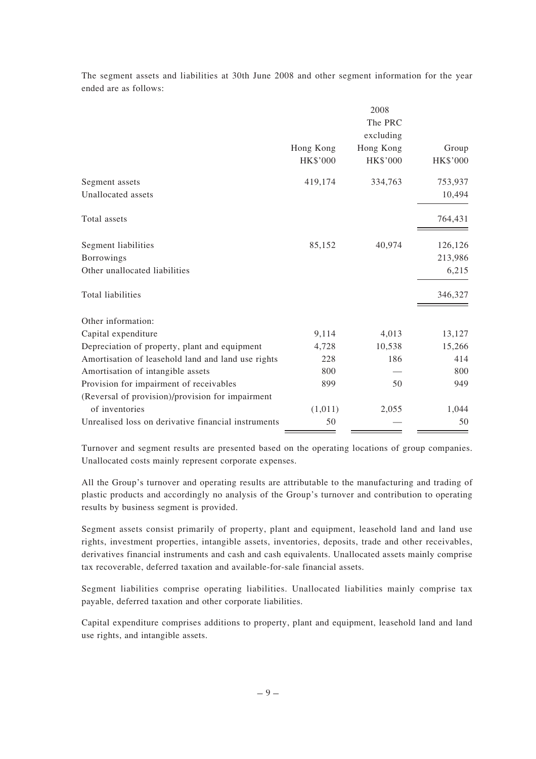The segment assets and liabilities at 30th June 2008 and other segment information for the year ended are as follows:

|                                                     |                 | 2008      |                 |
|-----------------------------------------------------|-----------------|-----------|-----------------|
|                                                     |                 | The PRC   |                 |
|                                                     |                 | excluding |                 |
|                                                     | Hong Kong       | Hong Kong | Group           |
|                                                     | <b>HK\$'000</b> | HK\$'000  | <b>HK\$'000</b> |
| Segment assets                                      | 419,174         | 334,763   | 753,937         |
| Unallocated assets                                  |                 |           | 10,494          |
| Total assets                                        |                 |           | 764,431         |
| Segment liabilities                                 | 85,152          | 40,974    | 126,126         |
| <b>Borrowings</b>                                   |                 |           | 213,986         |
| Other unallocated liabilities                       |                 |           | 6,215           |
| Total liabilities                                   |                 |           | 346,327         |
| Other information:                                  |                 |           |                 |
| Capital expenditure                                 | 9,114           | 4,013     | 13,127          |
| Depreciation of property, plant and equipment       | 4,728           | 10,538    | 15,266          |
| Amortisation of leasehold land and land use rights  | 228             | 186       | 414             |
| Amortisation of intangible assets                   | 800             |           | 800             |
| Provision for impairment of receivables             | 899             | 50        | 949             |
| (Reversal of provision)/provision for impairment    |                 |           |                 |
| of inventories                                      | (1,011)         | 2,055     | 1,044           |
| Unrealised loss on derivative financial instruments | 50              |           | 50              |

Turnover and segment results are presented based on the operating locations of group companies. Unallocated costs mainly represent corporate expenses.

All the Group's turnover and operating results are attributable to the manufacturing and trading of plastic products and accordingly no analysis of the Group's turnover and contribution to operating results by business segment is provided.

Segment assets consist primarily of property, plant and equipment, leasehold land and land use rights, investment properties, intangible assets, inventories, deposits, trade and other receivables, derivatives financial instruments and cash and cash equivalents. Unallocated assets mainly comprise tax recoverable, deferred taxation and available-for-sale financial assets.

Segment liabilities comprise operating liabilities. Unallocated liabilities mainly comprise tax payable, deferred taxation and other corporate liabilities.

Capital expenditure comprises additions to property, plant and equipment, leasehold land and land use rights, and intangible assets.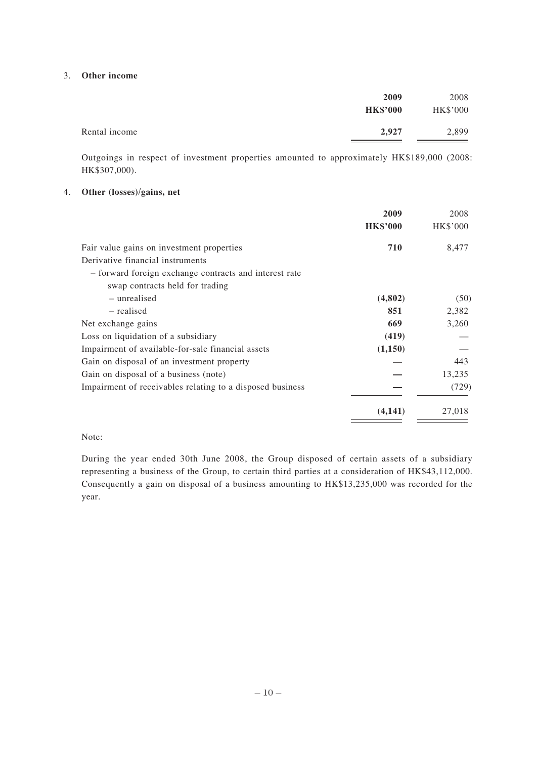#### 3. **Other income**

|               | 2009<br><b>HK\$'000</b> | 2008<br>HK\$'000 |
|---------------|-------------------------|------------------|
| Rental income | 2,927                   | 2,899            |

Outgoings in respect of investment properties amounted to approximately HK\$189,000 (2008: HK\$307,000).

### 4. **Other (losses)/gains, net**

|                                                           | 2009            | 2008     |
|-----------------------------------------------------------|-----------------|----------|
|                                                           | <b>HK\$'000</b> | HK\$'000 |
| Fair value gains on investment properties                 | 710             | 8,477    |
| Derivative financial instruments                          |                 |          |
| - forward foreign exchange contracts and interest rate    |                 |          |
| swap contracts held for trading                           |                 |          |
| - unrealised                                              | (4,802)         | (50)     |
| – realised                                                | 851             | 2,382    |
| Net exchange gains                                        | 669             | 3,260    |
| Loss on liquidation of a subsidiary                       | (419)           |          |
| Impairment of available-for-sale financial assets         | (1,150)         |          |
| Gain on disposal of an investment property                |                 | 443      |
| Gain on disposal of a business (note)                     |                 | 13,235   |
| Impairment of receivables relating to a disposed business |                 | (729)    |
|                                                           | (4,141)         | 27,018   |

#### Note:

During the year ended 30th June 2008, the Group disposed of certain assets of a subsidiary representing a business of the Group, to certain third parties at a consideration of HK\$43,112,000. Consequently a gain on disposal of a business amounting to HK\$13,235,000 was recorded for the year.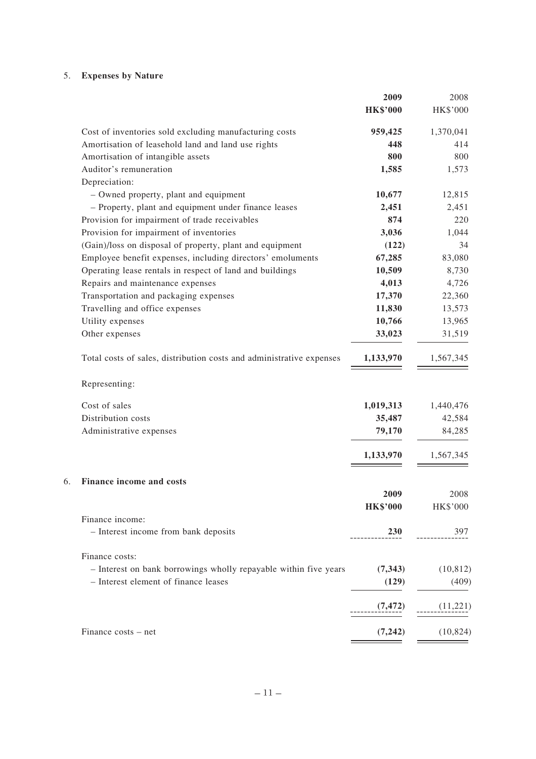# 5. **Expenses by Nature**

|    |                                                                      | 2009            | 2008            |
|----|----------------------------------------------------------------------|-----------------|-----------------|
|    |                                                                      | <b>HK\$'000</b> | HK\$'000        |
|    | Cost of inventories sold excluding manufacturing costs               | 959,425         | 1,370,041       |
|    | Amortisation of leasehold land and land use rights                   | 448             | 414             |
|    | Amortisation of intangible assets                                    | 800             | 800             |
|    | Auditor's remuneration                                               | 1,585           | 1,573           |
|    | Depreciation:                                                        |                 |                 |
|    | - Owned property, plant and equipment                                | 10,677          | 12,815          |
|    | - Property, plant and equipment under finance leases                 | 2,451           | 2,451           |
|    | Provision for impairment of trade receivables                        | 874             | 220             |
|    | Provision for impairment of inventories                              | 3,036           | 1,044           |
|    | (Gain)/loss on disposal of property, plant and equipment             | (122)           | 34              |
|    | Employee benefit expenses, including directors' emoluments           | 67,285          | 83,080          |
|    | Operating lease rentals in respect of land and buildings             | 10,509          | 8,730           |
|    | Repairs and maintenance expenses                                     | 4,013           | 4,726           |
|    | Transportation and packaging expenses                                | 17,370          | 22,360          |
|    | Travelling and office expenses                                       | 11,830          | 13,573          |
|    | Utility expenses                                                     | 10,766          | 13,965          |
|    | Other expenses                                                       | 33,023          | 31,519          |
|    | Total costs of sales, distribution costs and administrative expenses | 1,133,970       | 1,567,345       |
|    | Representing:                                                        |                 |                 |
|    | Cost of sales                                                        | 1,019,313       | 1,440,476       |
|    | Distribution costs                                                   | 35,487          | 42,584          |
|    | Administrative expenses                                              | 79,170          | 84,285          |
|    |                                                                      | 1,133,970       | 1,567,345       |
| 6. | Finance income and costs                                             |                 |                 |
|    |                                                                      | 2009            | 2008            |
|    |                                                                      | <b>HK\$'000</b> | <b>HK\$'000</b> |
|    | Finance income:                                                      |                 |                 |
|    | - Interest income from bank deposits                                 | <b>230</b>      | 397             |
|    |                                                                      |                 |                 |
|    | Finance costs:                                                       |                 |                 |
|    | - Interest on bank borrowings wholly repayable within five years     | (7, 343)        | (10, 812)       |
|    | - Interest element of finance leases                                 | (129)           | (409)           |
|    |                                                                      | (7, 472)        | (11,221)        |
|    | Finance costs – net                                                  | (7, 242)        | (10, 824)       |
|    |                                                                      |                 |                 |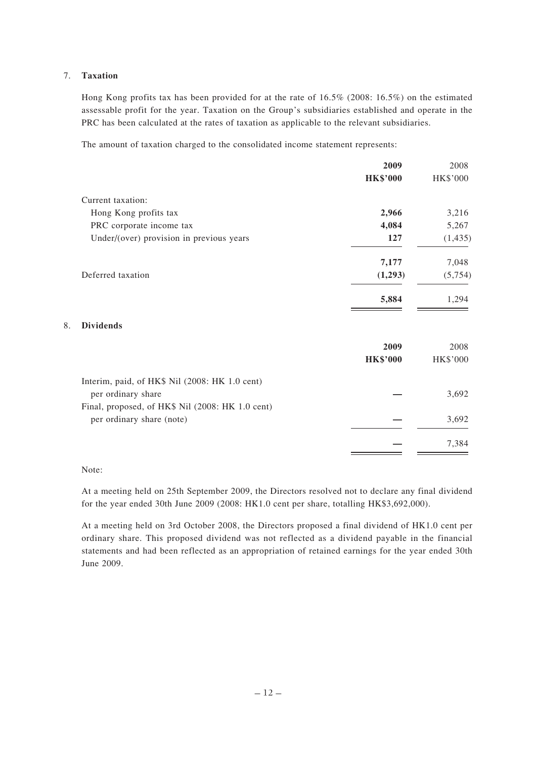### 7. **Taxation**

Hong Kong profits tax has been provided for at the rate of 16.5% (2008: 16.5%) on the estimated assessable profit for the year. Taxation on the Group's subsidiaries established and operate in the PRC has been calculated at the rates of taxation as applicable to the relevant subsidiaries.

The amount of taxation charged to the consolidated income statement represents:

| 2009            | 2008     |
|-----------------|----------|
| <b>HK\$'000</b> | HK\$'000 |
|                 |          |
| 2,966           | 3,216    |
| 4,084           | 5,267    |
| 127             | (1, 435) |
| 7,177           | 7,048    |
| (1,293)         | (5,754)  |
| 5,884           | 1,294    |
|                 |          |
| 2009            | 2008     |
| <b>HK\$'000</b> | HK\$'000 |
|                 |          |
|                 | 3,692    |
|                 |          |
|                 | 3,692    |
|                 | 7,384    |
|                 |          |

Note:

8. **Dividends**

At a meeting held on 25th September 2009, the Directors resolved not to declare any final dividend for the year ended 30th June 2009 (2008: HK1.0 cent per share, totalling HK\$3,692,000).

At a meeting held on 3rd October 2008, the Directors proposed a final dividend of HK1.0 cent per ordinary share. This proposed dividend was not reflected as a dividend payable in the financial statements and had been reflected as an appropriation of retained earnings for the year ended 30th June 2009.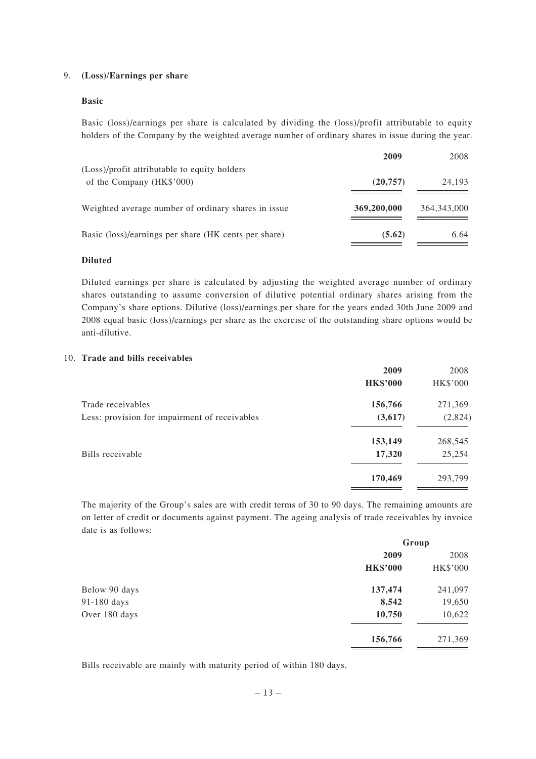#### 9. **(Loss)/Earnings per share**

#### **Basic**

Basic (loss)/earnings per share is calculated by dividing the (loss)/profit attributable to equity holders of the Company by the weighted average number of ordinary shares in issue during the year.

|                                                      | 2009        | 2008          |
|------------------------------------------------------|-------------|---------------|
| (Loss)/profit attributable to equity holders         |             |               |
| of the Company (HK\$'000)                            | (20, 757)   | 24,193        |
| Weighted average number of ordinary shares in issue  | 369,200,000 | 364, 343, 000 |
| Basic (loss)/earnings per share (HK cents per share) | (5.62)      | 6.64          |

#### **Diluted**

Diluted earnings per share is calculated by adjusting the weighted average number of ordinary shares outstanding to assume conversion of dilutive potential ordinary shares arising from the Company's share options. Dilutive (loss)/earnings per share for the years ended 30th June 2009 and 2008 equal basic (loss)/earnings per share as the exercise of the outstanding share options would be anti-dilutive.

#### 10. **Trade and bills receivables**

|                                               | 2009            | 2008            |
|-----------------------------------------------|-----------------|-----------------|
|                                               | <b>HK\$'000</b> | <b>HK\$'000</b> |
| Trade receivables                             | 156,766         | 271,369         |
| Less: provision for impairment of receivables | (3,617)         | (2,824)         |
|                                               | 153,149         | 268,545         |
| Bills receivable                              | 17,320          | 25,254          |
|                                               | 170,469         | 293,799         |

The majority of the Group's sales are with credit terms of 30 to 90 days. The remaining amounts are on letter of credit or documents against payment. The ageing analysis of trade receivables by invoice date is as follows:

|               | Group           |          |
|---------------|-----------------|----------|
|               | 2009            | 2008     |
|               | <b>HK\$'000</b> | HK\$'000 |
| Below 90 days | 137,474         | 241,097  |
| 91-180 days   | 8,542           | 19,650   |
| Over 180 days | 10,750          | 10,622   |
|               | 156,766         | 271,369  |

Bills receivable are mainly with maturity period of within 180 days.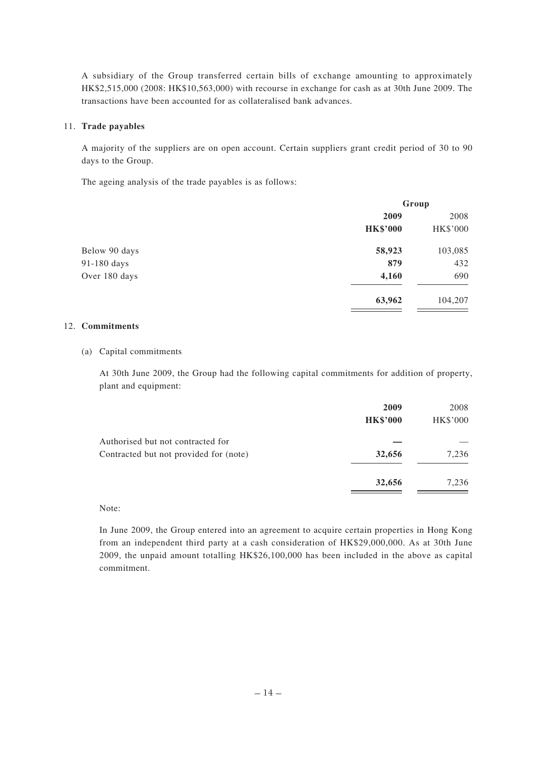A subsidiary of the Group transferred certain bills of exchange amounting to approximately HK\$2,515,000 (2008: HK\$10,563,000) with recourse in exchange for cash as at 30th June 2009. The transactions have been accounted for as collateralised bank advances.

#### 11. **Trade payables**

A majority of the suppliers are on open account. Certain suppliers grant credit period of 30 to 90 days to the Group.

The ageing analysis of the trade payables is as follows:

|               | Group           |          |
|---------------|-----------------|----------|
|               | 2009            | 2008     |
|               | <b>HK\$'000</b> | HK\$'000 |
| Below 90 days | 58,923          | 103,085  |
| 91-180 days   | 879             | 432      |
| Over 180 days | 4,160           | 690      |
|               | 63,962          | 104,207  |

#### 12. **Commitments**

#### (a) Capital commitments

At 30th June 2009, the Group had the following capital commitments for addition of property, plant and equipment:

|                                        | 2009<br><b>HK\$'000</b> | 2008<br>HK\$'000 |
|----------------------------------------|-------------------------|------------------|
| Authorised but not contracted for      |                         |                  |
| Contracted but not provided for (note) | 32,656                  | 7,236            |
|                                        | 32,656                  | 7,236            |

### Note:

In June 2009, the Group entered into an agreement to acquire certain properties in Hong Kong from an independent third party at a cash consideration of HK\$29,000,000. As at 30th June 2009, the unpaid amount totalling HK\$26,100,000 has been included in the above as capital commitment.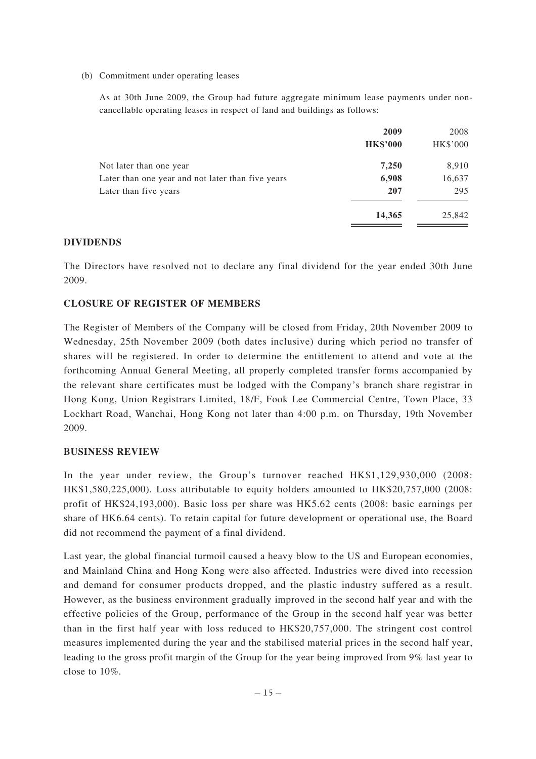(b) Commitment under operating leases

As at 30th June 2009, the Group had future aggregate minimum lease payments under noncancellable operating leases in respect of land and buildings as follows:

|                                                   | 2009            | 2008     |
|---------------------------------------------------|-----------------|----------|
|                                                   | <b>HK\$'000</b> | HK\$'000 |
| Not later than one year                           | 7,250           | 8,910    |
| Later than one year and not later than five years | 6,908           | 16,637   |
| Later than five years                             | 207             | 295      |
|                                                   | 14,365          | 25,842   |

# **DIVIDENDS**

The Directors have resolved not to declare any final dividend for the year ended 30th June 2009.

## **CLOSURE OF REGISTER OF MEMBERS**

The Register of Members of the Company will be closed from Friday, 20th November 2009 to Wednesday, 25th November 2009 (both dates inclusive) during which period no transfer of shares will be registered. In order to determine the entitlement to attend and vote at the forthcoming Annual General Meeting, all properly completed transfer forms accompanied by the relevant share certificates must be lodged with the Company's branch share registrar in Hong Kong, Union Registrars Limited, 18/F, Fook Lee Commercial Centre, Town Place, 33 Lockhart Road, Wanchai, Hong Kong not later than 4:00 p.m. on Thursday, 19th November 2009.

### **BUSINESS REVIEW**

In the year under review, the Group's turnover reached HK\$1,129,930,000 (2008: HK\$1,580,225,000). Loss attributable to equity holders amounted to HK\$20,757,000 (2008: profit of HK\$24,193,000). Basic loss per share was HK5.62 cents (2008: basic earnings per share of HK6.64 cents). To retain capital for future development or operational use, the Board did not recommend the payment of a final dividend.

Last year, the global financial turmoil caused a heavy blow to the US and European economies, and Mainland China and Hong Kong were also affected. Industries were dived into recession and demand for consumer products dropped, and the plastic industry suffered as a result. However, as the business environment gradually improved in the second half year and with the effective policies of the Group, performance of the Group in the second half year was better than in the first half year with loss reduced to HK\$20,757,000. The stringent cost control measures implemented during the year and the stabilised material prices in the second half year, leading to the gross profit margin of the Group for the year being improved from 9% last year to close to 10%.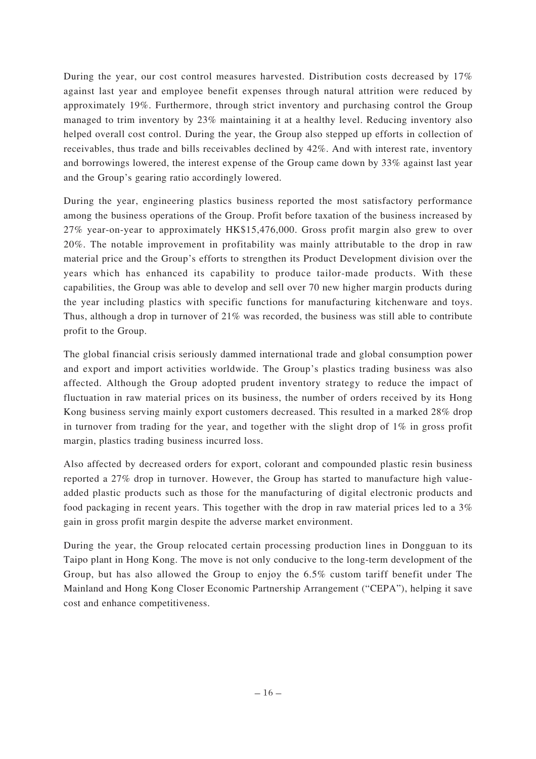During the year, our cost control measures harvested. Distribution costs decreased by 17% against last year and employee benefit expenses through natural attrition were reduced by approximately 19%. Furthermore, through strict inventory and purchasing control the Group managed to trim inventory by 23% maintaining it at a healthy level. Reducing inventory also helped overall cost control. During the year, the Group also stepped up efforts in collection of receivables, thus trade and bills receivables declined by 42%. And with interest rate, inventory and borrowings lowered, the interest expense of the Group came down by 33% against last year and the Group's gearing ratio accordingly lowered.

During the year, engineering plastics business reported the most satisfactory performance among the business operations of the Group. Profit before taxation of the business increased by 27% year-on-year to approximately HK\$15,476,000. Gross profit margin also grew to over 20%. The notable improvement in profitability was mainly attributable to the drop in raw material price and the Group's efforts to strengthen its Product Development division over the years which has enhanced its capability to produce tailor-made products. With these capabilities, the Group was able to develop and sell over 70 new higher margin products during the year including plastics with specific functions for manufacturing kitchenware and toys. Thus, although a drop in turnover of 21% was recorded, the business was still able to contribute profit to the Group.

The global financial crisis seriously dammed international trade and global consumption power and export and import activities worldwide. The Group's plastics trading business was also affected. Although the Group adopted prudent inventory strategy to reduce the impact of fluctuation in raw material prices on its business, the number of orders received by its Hong Kong business serving mainly export customers decreased. This resulted in a marked 28% drop in turnover from trading for the year, and together with the slight drop of  $1\%$  in gross profit margin, plastics trading business incurred loss.

Also affected by decreased orders for export, colorant and compounded plastic resin business reported a 27% drop in turnover. However, the Group has started to manufacture high valueadded plastic products such as those for the manufacturing of digital electronic products and food packaging in recent years. This together with the drop in raw material prices led to a 3% gain in gross profit margin despite the adverse market environment.

During the year, the Group relocated certain processing production lines in Dongguan to its Taipo plant in Hong Kong. The move is not only conducive to the long-term development of the Group, but has also allowed the Group to enjoy the 6.5% custom tariff benefit under The Mainland and Hong Kong Closer Economic Partnership Arrangement ("CEPA"), helping it save cost and enhance competitiveness.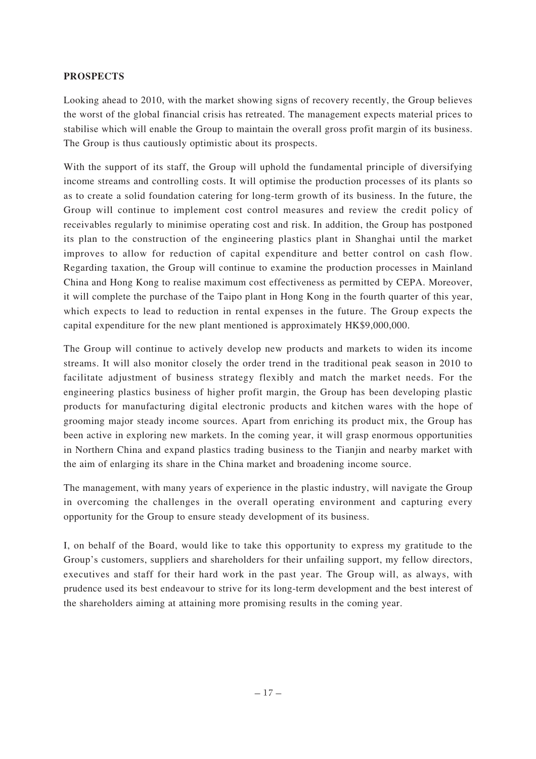## **PROSPECTS**

Looking ahead to 2010, with the market showing signs of recovery recently, the Group believes the worst of the global financial crisis has retreated. The management expects material prices to stabilise which will enable the Group to maintain the overall gross profit margin of its business. The Group is thus cautiously optimistic about its prospects.

With the support of its staff, the Group will uphold the fundamental principle of diversifying income streams and controlling costs. It will optimise the production processes of its plants so as to create a solid foundation catering for long-term growth of its business. In the future, the Group will continue to implement cost control measures and review the credit policy of receivables regularly to minimise operating cost and risk. In addition, the Group has postponed its plan to the construction of the engineering plastics plant in Shanghai until the market improves to allow for reduction of capital expenditure and better control on cash flow. Regarding taxation, the Group will continue to examine the production processes in Mainland China and Hong Kong to realise maximum cost effectiveness as permitted by CEPA. Moreover, it will complete the purchase of the Taipo plant in Hong Kong in the fourth quarter of this year, which expects to lead to reduction in rental expenses in the future. The Group expects the capital expenditure for the new plant mentioned is approximately HK\$9,000,000.

The Group will continue to actively develop new products and markets to widen its income streams. It will also monitor closely the order trend in the traditional peak season in 2010 to facilitate adjustment of business strategy flexibly and match the market needs. For the engineering plastics business of higher profit margin, the Group has been developing plastic products for manufacturing digital electronic products and kitchen wares with the hope of grooming major steady income sources. Apart from enriching its product mix, the Group has been active in exploring new markets. In the coming year, it will grasp enormous opportunities in Northern China and expand plastics trading business to the Tianjin and nearby market with the aim of enlarging its share in the China market and broadening income source.

The management, with many years of experience in the plastic industry, will navigate the Group in overcoming the challenges in the overall operating environment and capturing every opportunity for the Group to ensure steady development of its business.

I, on behalf of the Board, would like to take this opportunity to express my gratitude to the Group's customers, suppliers and shareholders for their unfailing support, my fellow directors, executives and staff for their hard work in the past year. The Group will, as always, with prudence used its best endeavour to strive for its long-term development and the best interest of the shareholders aiming at attaining more promising results in the coming year.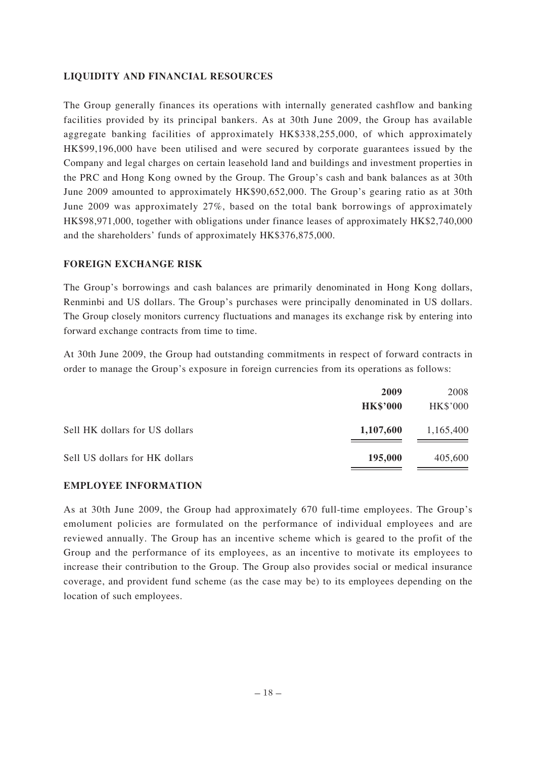## **LIQUIDITY AND FINANCIAL RESOURCES**

The Group generally finances its operations with internally generated cashflow and banking facilities provided by its principal bankers. As at 30th June 2009, the Group has available aggregate banking facilities of approximately HK\$338,255,000, of which approximately HK\$99,196,000 have been utilised and were secured by corporate guarantees issued by the Company and legal charges on certain leasehold land and buildings and investment properties in the PRC and Hong Kong owned by the Group. The Group's cash and bank balances as at 30th June 2009 amounted to approximately HK\$90,652,000. The Group's gearing ratio as at 30th June 2009 was approximately 27%, based on the total bank borrowings of approximately HK\$98,971,000, together with obligations under finance leases of approximately HK\$2,740,000 and the shareholders' funds of approximately HK\$376,875,000.

### **FOREIGN EXCHANGE RISK**

The Group's borrowings and cash balances are primarily denominated in Hong Kong dollars, Renminbi and US dollars. The Group's purchases were principally denominated in US dollars. The Group closely monitors currency fluctuations and manages its exchange risk by entering into forward exchange contracts from time to time.

At 30th June 2009, the Group had outstanding commitments in respect of forward contracts in order to manage the Group's exposure in foreign currencies from its operations as follows:

|                                | 2009            | 2008      |
|--------------------------------|-----------------|-----------|
|                                | <b>HK\$'000</b> | HK\$'000  |
| Sell HK dollars for US dollars | 1,107,600       | 1,165,400 |
| Sell US dollars for HK dollars | 195,000         | 405,600   |

### **EMPLOYEE INFORMATION**

As at 30th June 2009, the Group had approximately 670 full-time employees. The Group's emolument policies are formulated on the performance of individual employees and are reviewed annually. The Group has an incentive scheme which is geared to the profit of the Group and the performance of its employees, as an incentive to motivate its employees to increase their contribution to the Group. The Group also provides social or medical insurance coverage, and provident fund scheme (as the case may be) to its employees depending on the location of such employees.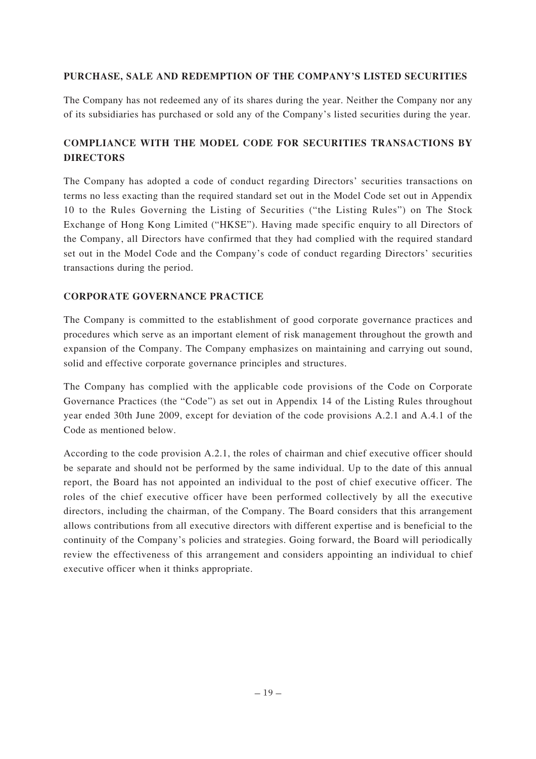# **PURCHASE, SALE AND REDEMPTION OF THE COMPANY'S LISTED SECURITIES**

The Company has not redeemed any of its shares during the year. Neither the Company nor any of its subsidiaries has purchased or sold any of the Company's listed securities during the year.

# **COMPLIANCE WITH THE MODEL CODE FOR SECURITIES TRANSACTIONS BY DIRECTORS**

The Company has adopted a code of conduct regarding Directors' securities transactions on terms no less exacting than the required standard set out in the Model Code set out in Appendix 10 to the Rules Governing the Listing of Securities ("the Listing Rules") on The Stock Exchange of Hong Kong Limited ("HKSE"). Having made specific enquiry to all Directors of the Company, all Directors have confirmed that they had complied with the required standard set out in the Model Code and the Company's code of conduct regarding Directors' securities transactions during the period.

# **CORPORATE GOVERNANCE PRACTICE**

The Company is committed to the establishment of good corporate governance practices and procedures which serve as an important element of risk management throughout the growth and expansion of the Company. The Company emphasizes on maintaining and carrying out sound, solid and effective corporate governance principles and structures.

The Company has complied with the applicable code provisions of the Code on Corporate Governance Practices (the "Code") as set out in Appendix 14 of the Listing Rules throughout year ended 30th June 2009, except for deviation of the code provisions A.2.1 and A.4.1 of the Code as mentioned below.

According to the code provision A.2.1, the roles of chairman and chief executive officer should be separate and should not be performed by the same individual. Up to the date of this annual report, the Board has not appointed an individual to the post of chief executive officer. The roles of the chief executive officer have been performed collectively by all the executive directors, including the chairman, of the Company. The Board considers that this arrangement allows contributions from all executive directors with different expertise and is beneficial to the continuity of the Company's policies and strategies. Going forward, the Board will periodically review the effectiveness of this arrangement and considers appointing an individual to chief executive officer when it thinks appropriate.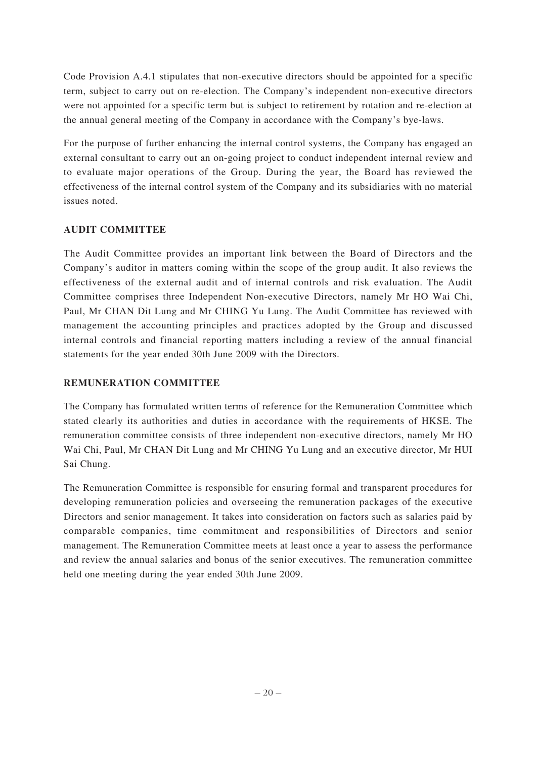Code Provision A.4.1 stipulates that non-executive directors should be appointed for a specific term, subject to carry out on re-election. The Company's independent non-executive directors were not appointed for a specific term but is subject to retirement by rotation and re-election at the annual general meeting of the Company in accordance with the Company's bye-laws.

For the purpose of further enhancing the internal control systems, the Company has engaged an external consultant to carry out an on-going project to conduct independent internal review and to evaluate major operations of the Group. During the year, the Board has reviewed the effectiveness of the internal control system of the Company and its subsidiaries with no material issues noted.

# **AUDIT COMMITTEE**

The Audit Committee provides an important link between the Board of Directors and the Company's auditor in matters coming within the scope of the group audit. It also reviews the effectiveness of the external audit and of internal controls and risk evaluation. The Audit Committee comprises three Independent Non-executive Directors, namely Mr HO Wai Chi, Paul, Mr CHAN Dit Lung and Mr CHING Yu Lung. The Audit Committee has reviewed with management the accounting principles and practices adopted by the Group and discussed internal controls and financial reporting matters including a review of the annual financial statements for the year ended 30th June 2009 with the Directors.

# **REMUNERATION COMMITTEE**

The Company has formulated written terms of reference for the Remuneration Committee which stated clearly its authorities and duties in accordance with the requirements of HKSE. The remuneration committee consists of three independent non-executive directors, namely Mr HO Wai Chi, Paul, Mr CHAN Dit Lung and Mr CHING Yu Lung and an executive director, Mr HUI Sai Chung.

The Remuneration Committee is responsible for ensuring formal and transparent procedures for developing remuneration policies and overseeing the remuneration packages of the executive Directors and senior management. It takes into consideration on factors such as salaries paid by comparable companies, time commitment and responsibilities of Directors and senior management. The Remuneration Committee meets at least once a year to assess the performance and review the annual salaries and bonus of the senior executives. The remuneration committee held one meeting during the year ended 30th June 2009.